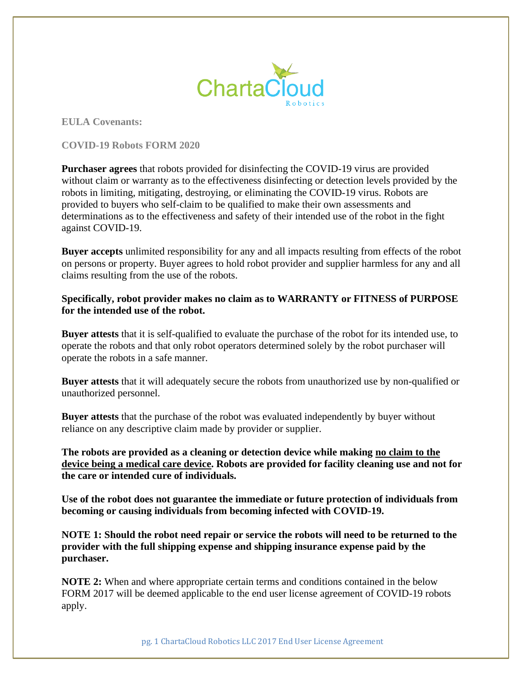

**EULA Covenants:**

**COVID-19 Robots FORM 2020**

**Purchaser agrees** that robots provided for disinfecting the COVID-19 virus are provided without claim or warranty as to the effectiveness disinfecting or detection levels provided by the robots in limiting, mitigating, destroying, or eliminating the COVID-19 virus. Robots are provided to buyers who self-claim to be qualified to make their own assessments and determinations as to the effectiveness and safety of their intended use of the robot in the fight against COVID-19.

**Buyer accepts** unlimited responsibility for any and all impacts resulting from effects of the robot on persons or property. Buyer agrees to hold robot provider and supplier harmless for any and all claims resulting from the use of the robots.

**Specifically, robot provider makes no claim as to WARRANTY or FITNESS of PURPOSE for the intended use of the robot.**

**Buyer attests** that it is self-qualified to evaluate the purchase of the robot for its intended use, to operate the robots and that only robot operators determined solely by the robot purchaser will operate the robots in a safe manner.

**Buyer attests** that it will adequately secure the robots from unauthorized use by non-qualified or unauthorized personnel.

**Buyer attests** that the purchase of the robot was evaluated independently by buyer without reliance on any descriptive claim made by provider or supplier.

**The robots are provided as a cleaning or detection device while making no claim to the device being a medical care device. Robots are provided for facility cleaning use and not for the care or intended cure of individuals.** 

**Use of the robot does not guarantee the immediate or future protection of individuals from becoming or causing individuals from becoming infected with COVID-19.**

**NOTE 1: Should the robot need repair or service the robots will need to be returned to the provider with the full shipping expense and shipping insurance expense paid by the purchaser.**

**NOTE 2:** When and where appropriate certain terms and conditions contained in the below FORM 2017 will be deemed applicable to the end user license agreement of COVID-19 robots apply.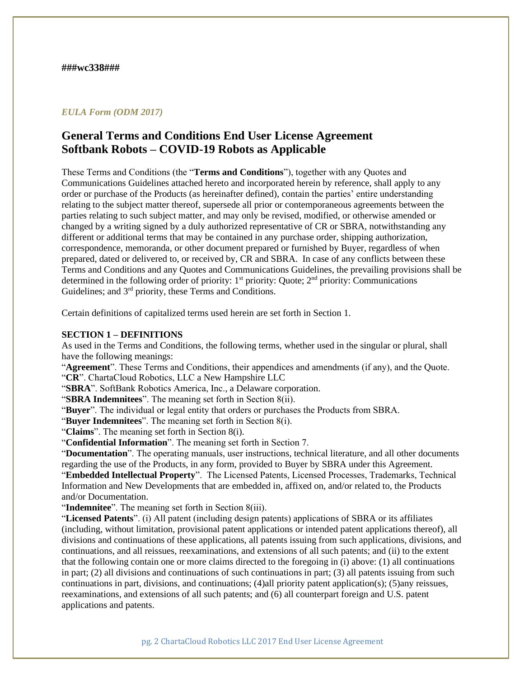## *EULA Form (ODM 2017)*

# **General Terms and Conditions End User License Agreement Softbank Robots – COVID-19 Robots as Applicable**

These Terms and Conditions (the "**Terms and Conditions**"), together with any Quotes and Communications Guidelines attached hereto and incorporated herein by reference, shall apply to any order or purchase of the Products (as hereinafter defined), contain the parties' entire understanding relating to the subject matter thereof, supersede all prior or contemporaneous agreements between the parties relating to such subject matter, and may only be revised, modified, or otherwise amended or changed by a writing signed by a duly authorized representative of CR or SBRA, notwithstanding any different or additional terms that may be contained in any purchase order, shipping authorization, correspondence, memoranda, or other document prepared or furnished by Buyer, regardless of when prepared, dated or delivered to, or received by, CR and SBRA. In case of any conflicts between these Terms and Conditions and any Quotes and Communications Guidelines, the prevailing provisions shall be determined in the following order of priority:  $1<sup>st</sup>$  priority: Quote;  $2<sup>nd</sup>$  priority: Communications Guidelines; and 3<sup>rd</sup> priority, these Terms and Conditions.

Certain definitions of capitalized terms used herein are set forth in Section 1.

# **SECTION 1 – DEFINITIONS**

As used in the Terms and Conditions, the following terms, whether used in the singular or plural, shall have the following meanings:

"**Agreement**". These Terms and Conditions, their appendices and amendments (if any), and the Quote. "**CR**". ChartaCloud Robotics, LLC a New Hampshire LLC

"**SBRA**". SoftBank Robotics America, Inc., a Delaware corporation.

"**SBRA Indemnitees**". The meaning set forth in Section 8(ii).

"**Buyer**". The individual or legal entity that orders or purchases the Products from SBRA.

"**Buyer Indemnitees**". The meaning set forth in Section 8(i).

"**Claims**". The meaning set forth in Section 8(i).

"**Confidential Information**". The meaning set forth in Section 7.

"**Documentation**". The operating manuals, user instructions, technical literature, and all other documents regarding the use of the Products, in any form, provided to Buyer by SBRA under this Agreement. "**Embedded Intellectual Property**". The Licensed Patents, Licensed Processes, Trademarks, Technical Information and New Developments that are embedded in, affixed on, and/or related to, the Products and/or Documentation.

"**Indemnitee**". The meaning set forth in Section 8(iii).

"**Licensed Patents**". (i) All patent (including design patents) applications of SBRA or its affiliates (including, without limitation, provisional patent applications or intended patent applications thereof), all divisions and continuations of these applications, all patents issuing from such applications, divisions, and continuations, and all reissues, reexaminations, and extensions of all such patents; and (ii) to the extent that the following contain one or more claims directed to the foregoing in (i) above: (1) all continuations in part; (2) all divisions and continuations of such continuations in part; (3) all patents issuing from such continuations in part, divisions, and continuations; (4)all priority patent application(s); (5)any reissues, reexaminations, and extensions of all such patents; and (6) all counterpart foreign and U.S. patent applications and patents.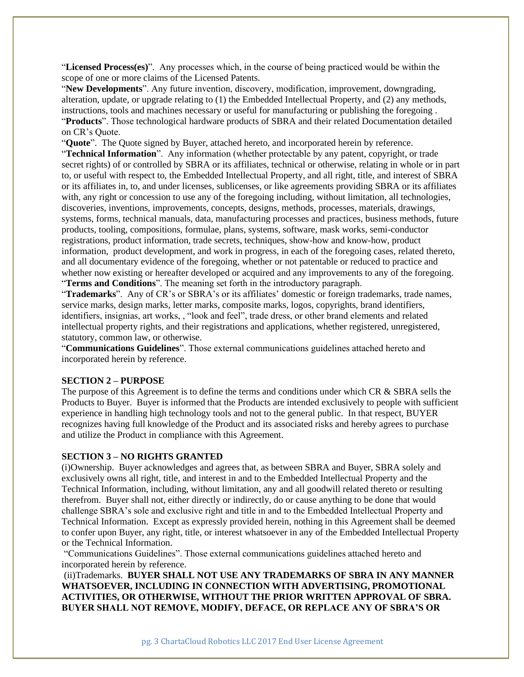"**Licensed Process(es)**". Any processes which, in the course of being practiced would be within the scope of one or more claims of the Licensed Patents.

"**New Developments**". Any future invention, discovery, modification, improvement, downgrading, alteration, update, or upgrade relating to (1) the Embedded Intellectual Property, and (2) any methods, instructions, tools and machines necessary or useful for manufacturing or publishing the foregoing . "**Products**". Those technological hardware products of SBRA and their related Documentation detailed on CR's Quote.

"**Quote**". The Quote signed by Buyer, attached hereto, and incorporated herein by reference.

"**Technical Information**". Any information (whether protectable by any patent, copyright, or trade secret rights) of or controlled by SBRA or its affiliates, technical or otherwise, relating in whole or in part to, or useful with respect to, the Embedded Intellectual Property, and all right, title, and interest of SBRA or its affiliates in, to, and under licenses, sublicenses, or like agreements providing SBRA or its affiliates with, any right or concession to use any of the foregoing including, without limitation, all technologies, discoveries, inventions, improvements, concepts, designs, methods, processes, materials, drawings, systems, forms, technical manuals, data, manufacturing processes and practices, business methods, future products, tooling, compositions, formulae, plans, systems, software, mask works, semi-conductor registrations, product information, trade secrets, techniques, show-how and know-how, product information, product development, and work in progress, in each of the foregoing cases, related thereto, and all documentary evidence of the foregoing, whether or not patentable or reduced to practice and whether now existing or hereafter developed or acquired and any improvements to any of the foregoing. "**Terms and Conditions**". The meaning set forth in the introductory paragraph.

"**Trademarks**". Any of CR's or SBRA's or its affiliates' domestic or foreign trademarks, trade names, service marks, design marks, letter marks, composite marks, logos, copyrights, brand identifiers, identifiers, insignias, art works, , "look and feel", trade dress, or other brand elements and related intellectual property rights, and their registrations and applications, whether registered, unregistered, statutory, common law, or otherwise.

"**Communications Guidelines**". Those external communications guidelines attached hereto and incorporated herein by reference.

## **SECTION 2 – PURPOSE**

The purpose of this Agreement is to define the terms and conditions under which CR & SBRA sells the Products to Buyer. Buyer is informed that the Products are intended exclusively to people with sufficient experience in handling high technology tools and not to the general public. In that respect, BUYER recognizes having full knowledge of the Product and its associated risks and hereby agrees to purchase and utilize the Product in compliance with this Agreement.

## **SECTION 3 – NO RIGHTS GRANTED**

(i)Ownership. Buyer acknowledges and agrees that, as between SBRA and Buyer, SBRA solely and exclusively owns all right, title, and interest in and to the Embedded Intellectual Property and the Technical Information, including, without limitation, any and all goodwill related thereto or resulting therefrom. Buyer shall not, either directly or indirectly, do or cause anything to be done that would challenge SBRA's sole and exclusive right and title in and to the Embedded Intellectual Property and Technical Information. Except as expressly provided herein, nothing in this Agreement shall be deemed to confer upon Buyer, any right, title, or interest whatsoever in any of the Embedded Intellectual Property or the Technical Information.

"Communications Guidelines". Those external communications guidelines attached hereto and incorporated herein by reference.

(ii)Trademarks. **BUYER SHALL NOT USE ANY TRADEMARKS OF SBRA IN ANY MANNER WHATSOEVER, INCLUDING IN CONNECTION WITH ADVERTISING, PROMOTIONAL ACTIVITIES, OR OTHERWISE, WITHOUT THE PRIOR WRITTEN APPROVAL OF SBRA. BUYER SHALL NOT REMOVE, MODIFY, DEFACE, OR REPLACE ANY OF SBRA'S OR**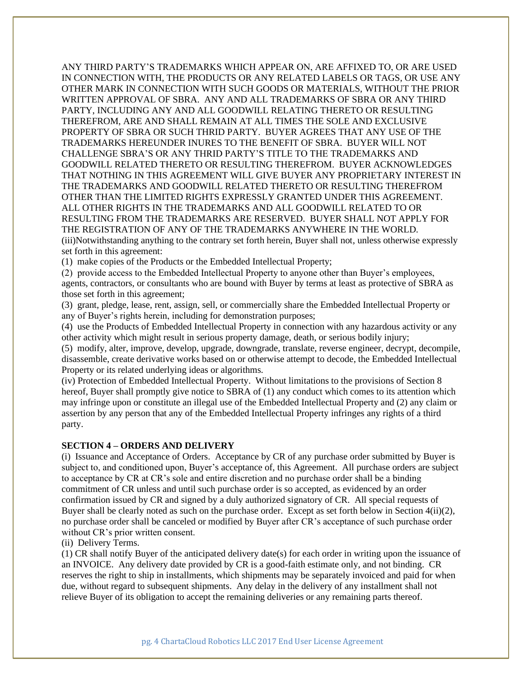ANY THIRD PARTY'S TRADEMARKS WHICH APPEAR ON, ARE AFFIXED TO, OR ARE USED IN CONNECTION WITH, THE PRODUCTS OR ANY RELATED LABELS OR TAGS, OR USE ANY OTHER MARK IN CONNECTION WITH SUCH GOODS OR MATERIALS, WITHOUT THE PRIOR WRITTEN APPROVAL OF SBRA. ANY AND ALL TRADEMARKS OF SBRA OR ANY THIRD PARTY, INCLUDING ANY AND ALL GOODWILL RELATING THERETO OR RESULTING THEREFROM, ARE AND SHALL REMAIN AT ALL TIMES THE SOLE AND EXCLUSIVE PROPERTY OF SBRA OR SUCH THRID PARTY. BUYER AGREES THAT ANY USE OF THE TRADEMARKS HEREUNDER INURES TO THE BENEFIT OF SBRA. BUYER WILL NOT CHALLENGE SBRA'S OR ANY THRID PARTY'S TITLE TO THE TRADEMARKS AND GOODWILL RELATED THERETO OR RESULTING THEREFROM. BUYER ACKNOWLEDGES THAT NOTHING IN THIS AGREEMENT WILL GIVE BUYER ANY PROPRIETARY INTEREST IN THE TRADEMARKS AND GOODWILL RELATED THERETO OR RESULTING THEREFROM OTHER THAN THE LIMITED RIGHTS EXPRESSLY GRANTED UNDER THIS AGREEMENT. ALL OTHER RIGHTS IN THE TRADEMARKS AND ALL GOODWILL RELATED TO OR RESULTING FROM THE TRADEMARKS ARE RESERVED. BUYER SHALL NOT APPLY FOR THE REGISTRATION OF ANY OF THE TRADEMARKS ANYWHERE IN THE WORLD. (iii)Notwithstanding anything to the contrary set forth herein, Buyer shall not, unless otherwise expressly set forth in this agreement:

(1) make copies of the Products or the Embedded Intellectual Property;

(2) provide access to the Embedded Intellectual Property to anyone other than Buyer's employees, agents, contractors, or consultants who are bound with Buyer by terms at least as protective of SBRA as those set forth in this agreement;

(3) grant, pledge, lease, rent, assign, sell, or commercially share the Embedded Intellectual Property or any of Buyer's rights herein, including for demonstration purposes;

(4) use the Products of Embedded Intellectual Property in connection with any hazardous activity or any other activity which might result in serious property damage, death, or serious bodily injury;

(5) modify, alter, improve, develop, upgrade, downgrade, translate, reverse engineer, decrypt, decompile, disassemble, create derivative works based on or otherwise attempt to decode, the Embedded Intellectual Property or its related underlying ideas or algorithms.

(iv) Protection of Embedded Intellectual Property. Without limitations to the provisions of Section 8 hereof, Buyer shall promptly give notice to SBRA of (1) any conduct which comes to its attention which may infringe upon or constitute an illegal use of the Embedded Intellectual Property and (2) any claim or assertion by any person that any of the Embedded Intellectual Property infringes any rights of a third party.

## **SECTION 4 – ORDERS AND DELIVERY**

(i) Issuance and Acceptance of Orders. Acceptance by CR of any purchase order submitted by Buyer is subject to, and conditioned upon, Buyer's acceptance of, this Agreement. All purchase orders are subject to acceptance by CR at CR's sole and entire discretion and no purchase order shall be a binding commitment of CR unless and until such purchase order is so accepted, as evidenced by an order confirmation issued by CR and signed by a duly authorized signatory of CR. All special requests of Buyer shall be clearly noted as such on the purchase order. Except as set forth below in Section 4(ii)(2), no purchase order shall be canceled or modified by Buyer after CR's acceptance of such purchase order without CR's prior written consent.

(ii) Delivery Terms.

(1) CR shall notify Buyer of the anticipated delivery date(s) for each order in writing upon the issuance of an INVOICE. Any delivery date provided by CR is a good-faith estimate only, and not binding. CR reserves the right to ship in installments, which shipments may be separately invoiced and paid for when due, without regard to subsequent shipments. Any delay in the delivery of any installment shall not relieve Buyer of its obligation to accept the remaining deliveries or any remaining parts thereof.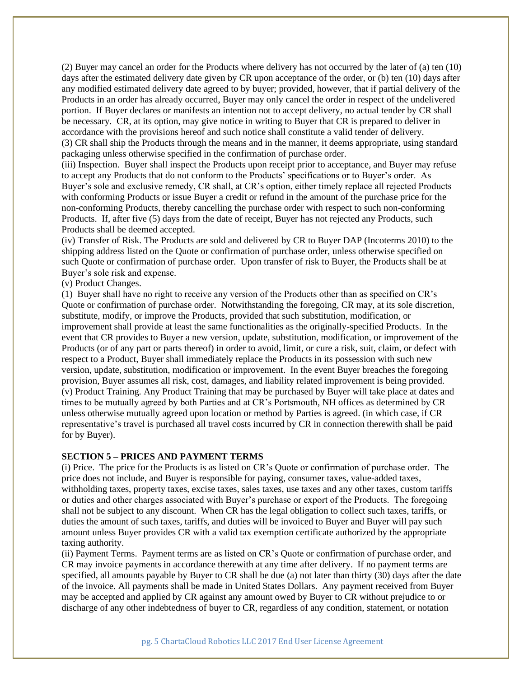(2) Buyer may cancel an order for the Products where delivery has not occurred by the later of (a) ten (10) days after the estimated delivery date given by CR upon acceptance of the order, or (b) ten (10) days after any modified estimated delivery date agreed to by buyer; provided, however, that if partial delivery of the Products in an order has already occurred, Buyer may only cancel the order in respect of the undelivered portion. If Buyer declares or manifests an intention not to accept delivery, no actual tender by CR shall be necessary. CR, at its option, may give notice in writing to Buyer that CR is prepared to deliver in accordance with the provisions hereof and such notice shall constitute a valid tender of delivery. (3) CR shall ship the Products through the means and in the manner, it deems appropriate, using standard packaging unless otherwise specified in the confirmation of purchase order.

(iii) Inspection. Buyer shall inspect the Products upon receipt prior to acceptance, and Buyer may refuse to accept any Products that do not conform to the Products' specifications or to Buyer's order. As Buyer's sole and exclusive remedy, CR shall, at CR's option, either timely replace all rejected Products with conforming Products or issue Buyer a credit or refund in the amount of the purchase price for the non-conforming Products, thereby cancelling the purchase order with respect to such non-conforming Products. If, after five (5) days from the date of receipt, Buyer has not rejected any Products, such Products shall be deemed accepted.

(iv) Transfer of Risk. The Products are sold and delivered by CR to Buyer DAP (Incoterms 2010) to the shipping address listed on the Quote or confirmation of purchase order, unless otherwise specified on such Quote or confirmation of purchase order. Upon transfer of risk to Buyer, the Products shall be at Buyer's sole risk and expense.

(v) Product Changes.

(1) Buyer shall have no right to receive any version of the Products other than as specified on CR's Quote or confirmation of purchase order. Notwithstanding the foregoing, CR may, at its sole discretion, substitute, modify, or improve the Products, provided that such substitution, modification, or improvement shall provide at least the same functionalities as the originally-specified Products. In the event that CR provides to Buyer a new version, update, substitution, modification, or improvement of the Products (or of any part or parts thereof) in order to avoid, limit, or cure a risk, suit, claim, or defect with respect to a Product, Buyer shall immediately replace the Products in its possession with such new version, update, substitution, modification or improvement. In the event Buyer breaches the foregoing provision, Buyer assumes all risk, cost, damages, and liability related improvement is being provided. (v) Product Training. Any Product Training that may be purchased by Buyer will take place at dates and times to be mutually agreed by both Parties and at CR's Portsmouth, NH offices as determined by CR unless otherwise mutually agreed upon location or method by Parties is agreed. (in which case, if CR representative's travel is purchased all travel costs incurred by CR in connection therewith shall be paid for by Buyer).

## **SECTION 5 – PRICES AND PAYMENT TERMS**

(i) Price. The price for the Products is as listed on CR's Quote or confirmation of purchase order. The price does not include, and Buyer is responsible for paying, consumer taxes, value-added taxes, withholding taxes, property taxes, excise taxes, sales taxes, use taxes and any other taxes, custom tariffs or duties and other charges associated with Buyer's purchase or export of the Products. The foregoing shall not be subject to any discount. When CR has the legal obligation to collect such taxes, tariffs, or duties the amount of such taxes, tariffs, and duties will be invoiced to Buyer and Buyer will pay such amount unless Buyer provides CR with a valid tax exemption certificate authorized by the appropriate taxing authority.

(ii) Payment Terms. Payment terms are as listed on CR's Quote or confirmation of purchase order, and CR may invoice payments in accordance therewith at any time after delivery. If no payment terms are specified, all amounts payable by Buyer to CR shall be due (a) not later than thirty (30) days after the date of the invoice. All payments shall be made in United States Dollars. Any payment received from Buyer may be accepted and applied by CR against any amount owed by Buyer to CR without prejudice to or discharge of any other indebtedness of buyer to CR, regardless of any condition, statement, or notation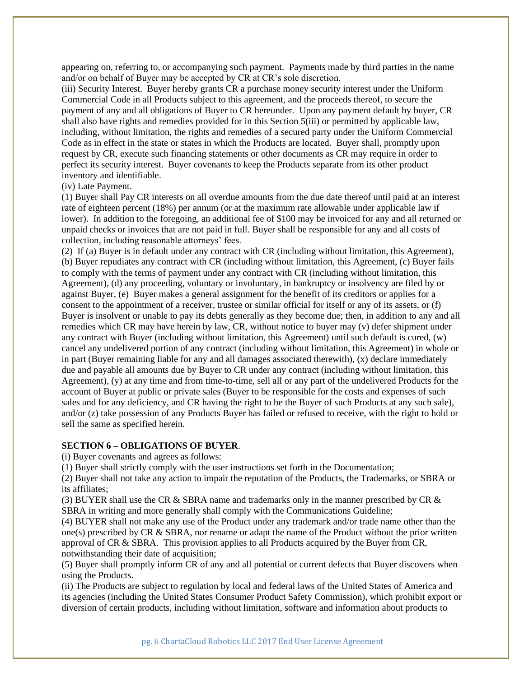appearing on, referring to, or accompanying such payment. Payments made by third parties in the name and/or on behalf of Buyer may be accepted by CR at CR's sole discretion.

(iii) Security Interest. Buyer hereby grants CR a purchase money security interest under the Uniform Commercial Code in all Products subject to this agreement, and the proceeds thereof, to secure the payment of any and all obligations of Buyer to CR hereunder. Upon any payment default by buyer, CR shall also have rights and remedies provided for in this Section 5(iii) or permitted by applicable law, including, without limitation, the rights and remedies of a secured party under the Uniform Commercial Code as in effect in the state or states in which the Products are located. Buyer shall, promptly upon request by CR, execute such financing statements or other documents as CR may require in order to perfect its security interest. Buyer covenants to keep the Products separate from its other product inventory and identifiable.

# (iv) Late Payment.

(1) Buyer shall Pay CR interests on all overdue amounts from the due date thereof until paid at an interest rate of eighteen percent (18%) per annum (or at the maximum rate allowable under applicable law if lower). In addition to the foregoing, an additional fee of \$100 may be invoiced for any and all returned or unpaid checks or invoices that are not paid in full. Buyer shall be responsible for any and all costs of collection, including reasonable attorneys' fees.

(2) If (a) Buyer is in default under any contract with CR (including without limitation, this Agreement), (b) Buyer repudiates any contract with CR (including without limitation, this Agreement, (c) Buyer fails to comply with the terms of payment under any contract with CR (including without limitation, this Agreement), (d) any proceeding, voluntary or involuntary, in bankruptcy or insolvency are filed by or against Buyer, (e) Buyer makes a general assignment for the benefit of its creditors or applies for a consent to the appointment of a receiver, trustee or similar official for itself or any of its assets, or (f) Buyer is insolvent or unable to pay its debts generally as they become due; then, in addition to any and all remedies which CR may have herein by law, CR, without notice to buyer may (v) defer shipment under any contract with Buyer (including without limitation, this Agreement) until such default is cured, (w) cancel any undelivered portion of any contract (including without limitation, this Agreement) in whole or in part (Buyer remaining liable for any and all damages associated therewith),  $(x)$  declare immediately due and payable all amounts due by Buyer to CR under any contract (including without limitation, this Agreement), (y) at any time and from time-to-time, sell all or any part of the undelivered Products for the account of Buyer at public or private sales (Buyer to be responsible for the costs and expenses of such sales and for any deficiency, and CR having the right to be the Buyer of such Products at any such sale), and/or (z) take possession of any Products Buyer has failed or refused to receive, with the right to hold or sell the same as specified herein.

#### **SECTION 6 – OBLIGATIONS OF BUYER**.

(i) Buyer covenants and agrees as follows:

(1) Buyer shall strictly comply with the user instructions set forth in the Documentation;

(2) Buyer shall not take any action to impair the reputation of the Products, the Trademarks, or SBRA or its affiliates;

(3) BUYER shall use the CR  $&$  SBRA name and trademarks only in the manner prescribed by CR  $&$ SBRA in writing and more generally shall comply with the Communications Guideline;

(4) BUYER shall not make any use of the Product under any trademark and/or trade name other than the one(s) prescribed by CR & SBRA, nor rename or adapt the name of the Product without the prior written approval of CR & SBRA. This provision applies to all Products acquired by the Buyer from CR, notwithstanding their date of acquisition;

(5) Buyer shall promptly inform CR of any and all potential or current defects that Buyer discovers when using the Products.

(ii) The Products are subject to regulation by local and federal laws of the United States of America and its agencies (including the United States Consumer Product Safety Commission), which prohibit export or diversion of certain products, including without limitation, software and information about products to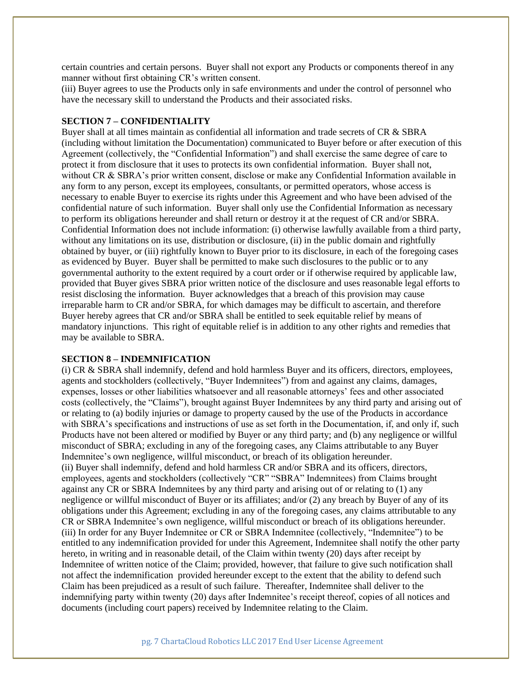certain countries and certain persons. Buyer shall not export any Products or components thereof in any manner without first obtaining CR's written consent.

(iii) Buyer agrees to use the Products only in safe environments and under the control of personnel who have the necessary skill to understand the Products and their associated risks.

## **SECTION 7 – CONFIDENTIALITY**

Buyer shall at all times maintain as confidential all information and trade secrets of CR & SBRA (including without limitation the Documentation) communicated to Buyer before or after execution of this Agreement (collectively, the "Confidential Information") and shall exercise the same degree of care to protect it from disclosure that it uses to protects its own confidential information. Buyer shall not, without CR & SBRA's prior written consent, disclose or make any Confidential Information available in any form to any person, except its employees, consultants, or permitted operators, whose access is necessary to enable Buyer to exercise its rights under this Agreement and who have been advised of the confidential nature of such information. Buyer shall only use the Confidential Information as necessary to perform its obligations hereunder and shall return or destroy it at the request of CR and/or SBRA. Confidential Information does not include information: (i) otherwise lawfully available from a third party, without any limitations on its use, distribution or disclosure, (ii) in the public domain and rightfully obtained by buyer, or (iii) rightfully known to Buyer prior to its disclosure, in each of the foregoing cases as evidenced by Buyer. Buyer shall be permitted to make such disclosures to the public or to any governmental authority to the extent required by a court order or if otherwise required by applicable law, provided that Buyer gives SBRA prior written notice of the disclosure and uses reasonable legal efforts to resist disclosing the information. Buyer acknowledges that a breach of this provision may cause irreparable harm to CR and/or SBRA, for which damages may be difficult to ascertain, and therefore Buyer hereby agrees that CR and/or SBRA shall be entitled to seek equitable relief by means of mandatory injunctions. This right of equitable relief is in addition to any other rights and remedies that may be available to SBRA.

#### **SECTION 8 – INDEMNIFICATION**

(i) CR & SBRA shall indemnify, defend and hold harmless Buyer and its officers, directors, employees, agents and stockholders (collectively, "Buyer Indemnitees") from and against any claims, damages, expenses, losses or other liabilities whatsoever and all reasonable attorneys' fees and other associated costs (collectively, the "Claims"), brought against Buyer Indemnitees by any third party and arising out of or relating to (a) bodily injuries or damage to property caused by the use of the Products in accordance with SBRA's specifications and instructions of use as set forth in the Documentation, if, and only if, such Products have not been altered or modified by Buyer or any third party; and (b) any negligence or willful misconduct of SBRA; excluding in any of the foregoing cases, any Claims attributable to any Buyer Indemnitee's own negligence, willful misconduct, or breach of its obligation hereunder. (ii) Buyer shall indemnify, defend and hold harmless CR and/or SBRA and its officers, directors, employees, agents and stockholders (collectively "CR" "SBRA" Indemnitees) from Claims brought against any CR or SBRA Indemnitees by any third party and arising out of or relating to (1) any negligence or willful misconduct of Buyer or its affiliates; and/or (2) any breach by Buyer of any of its obligations under this Agreement; excluding in any of the foregoing cases, any claims attributable to any CR or SBRA Indemnitee's own negligence, willful misconduct or breach of its obligations hereunder. (iii) In order for any Buyer Indemnitee or CR or SBRA Indemnitee (collectively, "Indemnitee") to be entitled to any indemnification provided for under this Agreement, Indemnitee shall notify the other party hereto, in writing and in reasonable detail, of the Claim within twenty (20) days after receipt by Indemnitee of written notice of the Claim; provided, however, that failure to give such notification shall not affect the indemnification provided hereunder except to the extent that the ability to defend such Claim has been prejudiced as a result of such failure. Thereafter, Indemnitee shall deliver to the indemnifying party within twenty (20) days after Indemnitee's receipt thereof, copies of all notices and documents (including court papers) received by Indemnitee relating to the Claim.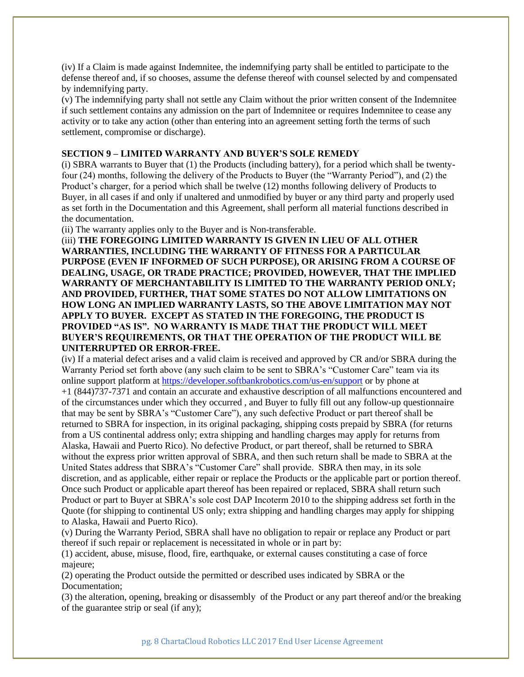(iv) If a Claim is made against Indemnitee, the indemnifying party shall be entitled to participate to the defense thereof and, if so chooses, assume the defense thereof with counsel selected by and compensated by indemnifying party.

(v) The indemnifying party shall not settle any Claim without the prior written consent of the Indemnitee if such settlement contains any admission on the part of Indemnitee or requires Indemnitee to cease any activity or to take any action (other than entering into an agreement setting forth the terms of such settlement, compromise or discharge).

#### **SECTION 9 – LIMITED WARRANTY AND BUYER'S SOLE REMEDY**

(i) SBRA warrants to Buyer that (1) the Products (including battery), for a period which shall be twentyfour (24) months, following the delivery of the Products to Buyer (the "Warranty Period"), and (2) the Product's charger, for a period which shall be twelve (12) months following delivery of Products to Buyer, in all cases if and only if unaltered and unmodified by buyer or any third party and properly used as set forth in the Documentation and this Agreement, shall perform all material functions described in the documentation.

(ii) The warranty applies only to the Buyer and is Non-transferable.

(iii) **THE FOREGOING LIMITED WARRANTY IS GIVEN IN LIEU OF ALL OTHER WARRANTIES, INCLUDING THE WARRANTY OF FITNESS FOR A PARTICULAR PURPOSE (EVEN IF INFORMED OF SUCH PURPOSE), OR ARISING FROM A COURSE OF DEALING, USAGE, OR TRADE PRACTICE; PROVIDED, HOWEVER, THAT THE IMPLIED WARRANTY OF MERCHANTABILITY IS LIMITED TO THE WARRANTY PERIOD ONLY; AND PROVIDED, FURTHER, THAT SOME STATES DO NOT ALLOW LIMITATIONS ON HOW LONG AN IMPLIED WARRANTY LASTS, SO THE ABOVE LIMITATION MAY NOT APPLY TO BUYER. EXCEPT AS STATED IN THE FOREGOING, THE PRODUCT IS PROVIDED "AS IS". NO WARRANTY IS MADE THAT THE PRODUCT WILL MEET BUYER'S REQUIREMENTS, OR THAT THE OPERATION OF THE PRODUCT WILL BE UNITERRUPTED OR ERROR-FREE.**

(iv) If a material defect arises and a valid claim is received and approved by CR and/or SBRA during the Warranty Period set forth above (any such claim to be sent to SBRA's "Customer Care" team via its online support platform at<https://developer.softbankrobotics.com/us-en/support> or by phone at +1 (844)737-7371 and contain an accurate and exhaustive description of all malfunctions encountered and of the circumstances under which they occurred , and Buyer to fully fill out any follow-up questionnaire that may be sent by SBRA's "Customer Care"), any such defective Product or part thereof shall be returned to SBRA for inspection, in its original packaging, shipping costs prepaid by SBRA (for returns from a US continental address only; extra shipping and handling charges may apply for returns from Alaska, Hawaii and Puerto Rico). No defective Product, or part thereof, shall be returned to SBRA without the express prior written approval of SBRA, and then such return shall be made to SBRA at the United States address that SBRA's "Customer Care" shall provide. SBRA then may, in its sole discretion, and as applicable, either repair or replace the Products or the applicable part or portion thereof. Once such Product or applicable apart thereof has been repaired or replaced, SBRA shall return such Product or part to Buyer at SBRA's sole cost DAP Incoterm 2010 to the shipping address set forth in the Quote (for shipping to continental US only; extra shipping and handling charges may apply for shipping to Alaska, Hawaii and Puerto Rico).

(v) During the Warranty Period, SBRA shall have no obligation to repair or replace any Product or part thereof if such repair or replacement is necessitated in whole or in part by:

(1) accident, abuse, misuse, flood, fire, earthquake, or external causes constituting a case of force majeure;

(2) operating the Product outside the permitted or described uses indicated by SBRA or the Documentation;

(3) the alteration, opening, breaking or disassembly of the Product or any part thereof and/or the breaking of the guarantee strip or seal (if any);

pg. 8 ChartaCloud Robotics LLC 2017 End User License Agreement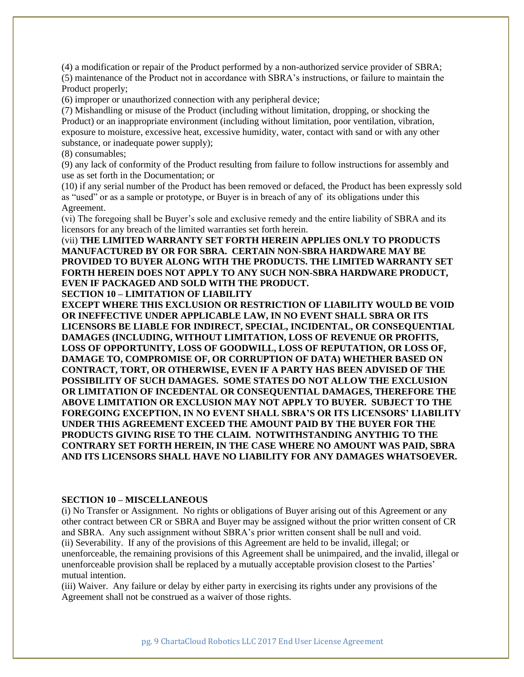(4) a modification or repair of the Product performed by a non-authorized service provider of SBRA; (5) maintenance of the Product not in accordance with SBRA's instructions, or failure to maintain the Product properly;

(6) improper or unauthorized connection with any peripheral device;

(7) Mishandling or misuse of the Product (including without limitation, dropping, or shocking the Product) or an inappropriate environment (including without limitation, poor ventilation, vibration, exposure to moisture, excessive heat, excessive humidity, water, contact with sand or with any other substance, or inadequate power supply);

(8) consumables;

(9) any lack of conformity of the Product resulting from failure to follow instructions for assembly and use as set forth in the Documentation; or

(10) if any serial number of the Product has been removed or defaced, the Product has been expressly sold as "used" or as a sample or prototype, or Buyer is in breach of any of its obligations under this Agreement.

(vi) The foregoing shall be Buyer's sole and exclusive remedy and the entire liability of SBRA and its licensors for any breach of the limited warranties set forth herein.

(vii) **THE LIMITED WARRANTY SET FORTH HEREIN APPLIES ONLY TO PRODUCTS MANUFACTURED BY OR FOR SBRA. CERTAIN NON-SBRA HARDWARE MAY BE PROVIDED TO BUYER ALONG WITH THE PRODUCTS. THE LIMITED WARRANTY SET FORTH HEREIN DOES NOT APPLY TO ANY SUCH NON-SBRA HARDWARE PRODUCT, EVEN IF PACKAGED AND SOLD WITH THE PRODUCT.**

**SECTION 10 – LIMITATION OF LIABILITY EXCEPT WHERE THIS EXCLUSION OR RESTRICTION OF LIABILITY WOULD BE VOID** 

**OR INEFFECTIVE UNDER APPLICABLE LAW, IN NO EVENT SHALL SBRA OR ITS LICENSORS BE LIABLE FOR INDIRECT, SPECIAL, INCIDENTAL, OR CONSEQUENTIAL DAMAGES (INCLUDING, WITHOUT LIMITATION, LOSS OF REVENUE OR PROFITS, LOSS OF OPPORTUNITY, LOSS OF GOODWILL, LOSS OF REPUTATION, OR LOSS OF, DAMAGE TO, COMPROMISE OF, OR CORRUPTION OF DATA) WHETHER BASED ON CONTRACT, TORT, OR OTHERWISE, EVEN IF A PARTY HAS BEEN ADVISED OF THE POSSIBILITY OF SUCH DAMAGES. SOME STATES DO NOT ALLOW THE EXCLUSION OR LIMITATION OF INCEDENTAL OR CONSEQUENTIAL DAMAGES, THEREFORE THE ABOVE LIMITATION OR EXCLUSION MAY NOT APPLY TO BUYER. SUBJECT TO THE FOREGOING EXCEPTION, IN NO EVENT SHALL SBRA'S OR ITS LICENSORS' LIABILITY UNDER THIS AGREEMENT EXCEED THE AMOUNT PAID BY THE BUYER FOR THE PRODUCTS GIVING RISE TO THE CLAIM. NOTWITHSTANDING ANYTHIG TO THE CONTRARY SET FORTH HEREIN, IN THE CASE WHERE NO AMOUNT WAS PAID, SBRA AND ITS LICENSORS SHALL HAVE NO LIABILITY FOR ANY DAMAGES WHATSOEVER.**

#### **SECTION 10 – MISCELLANEOUS**

(i) No Transfer or Assignment. No rights or obligations of Buyer arising out of this Agreement or any other contract between CR or SBRA and Buyer may be assigned without the prior written consent of CR and SBRA. Any such assignment without SBRA's prior written consent shall be null and void. (ii) Severability. If any of the provisions of this Agreement are held to be invalid, illegal; or unenforceable, the remaining provisions of this Agreement shall be unimpaired, and the invalid, illegal or unenforceable provision shall be replaced by a mutually acceptable provision closest to the Parties' mutual intention.

(iii) Waiver. Any failure or delay by either party in exercising its rights under any provisions of the Agreement shall not be construed as a waiver of those rights.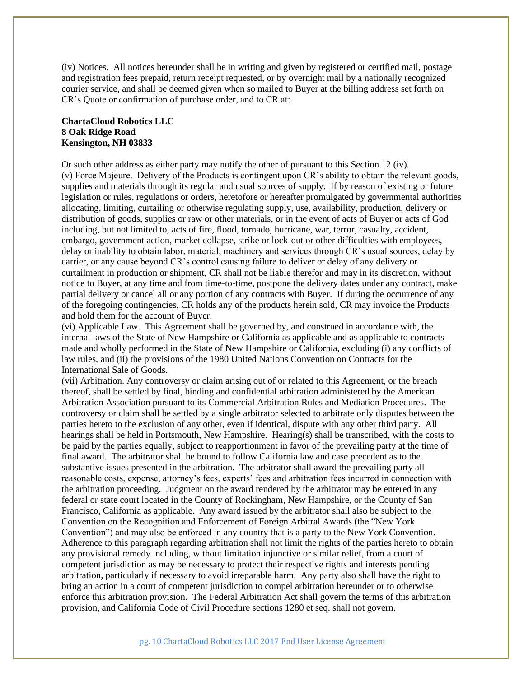(iv) Notices. All notices hereunder shall be in writing and given by registered or certified mail, postage and registration fees prepaid, return receipt requested, or by overnight mail by a nationally recognized courier service, and shall be deemed given when so mailed to Buyer at the billing address set forth on CR's Quote or confirmation of purchase order, and to CR at:

# **ChartaCloud Robotics LLC 8 Oak Ridge Road Kensington, NH 03833**

Or such other address as either party may notify the other of pursuant to this Section 12 (iv). (v) Force Majeure. Delivery of the Products is contingent upon CR's ability to obtain the relevant goods, supplies and materials through its regular and usual sources of supply. If by reason of existing or future legislation or rules, regulations or orders, heretofore or hereafter promulgated by governmental authorities allocating, limiting, curtailing or otherwise regulating supply, use, availability, production, delivery or distribution of goods, supplies or raw or other materials, or in the event of acts of Buyer or acts of God including, but not limited to, acts of fire, flood, tornado, hurricane, war, terror, casualty, accident, embargo, government action, market collapse, strike or lock-out or other difficulties with employees, delay or inability to obtain labor, material, machinery and services through CR's usual sources, delay by carrier, or any cause beyond CR's control causing failure to deliver or delay of any delivery or curtailment in production or shipment, CR shall not be liable therefor and may in its discretion, without notice to Buyer, at any time and from time-to-time, postpone the delivery dates under any contract, make partial delivery or cancel all or any portion of any contracts with Buyer. If during the occurrence of any of the foregoing contingencies, CR holds any of the products herein sold, CR may invoice the Products and hold them for the account of Buyer.

(vi) Applicable Law. This Agreement shall be governed by, and construed in accordance with, the internal laws of the State of New Hampshire or California as applicable and as applicable to contracts made and wholly performed in the State of New Hampshire or California, excluding (i) any conflicts of law rules, and (ii) the provisions of the 1980 United Nations Convention on Contracts for the International Sale of Goods.

(vii) Arbitration. Any controversy or claim arising out of or related to this Agreement, or the breach thereof, shall be settled by final, binding and confidential arbitration administered by the American Arbitration Association pursuant to its Commercial Arbitration Rules and Mediation Procedures. The controversy or claim shall be settled by a single arbitrator selected to arbitrate only disputes between the parties hereto to the exclusion of any other, even if identical, dispute with any other third party. All hearings shall be held in Portsmouth, New Hampshire. Hearing(s) shall be transcribed, with the costs to be paid by the parties equally, subject to reapportionment in favor of the prevailing party at the time of final award. The arbitrator shall be bound to follow California law and case precedent as to the substantive issues presented in the arbitration. The arbitrator shall award the prevailing party all reasonable costs, expense, attorney's fees, experts' fees and arbitration fees incurred in connection with the arbitration proceeding. Judgment on the award rendered by the arbitrator may be entered in any federal or state court located in the County of Rockingham, New Hampshire, or the County of San Francisco, California as applicable. Any award issued by the arbitrator shall also be subject to the Convention on the Recognition and Enforcement of Foreign Arbitral Awards (the "New York Convention") and may also be enforced in any country that is a party to the New York Convention. Adherence to this paragraph regarding arbitration shall not limit the rights of the parties hereto to obtain any provisional remedy including, without limitation injunctive or similar relief, from a court of competent jurisdiction as may be necessary to protect their respective rights and interests pending arbitration, particularly if necessary to avoid irreparable harm. Any party also shall have the right to bring an action in a court of competent jurisdiction to compel arbitration hereunder or to otherwise enforce this arbitration provision. The Federal Arbitration Act shall govern the terms of this arbitration provision, and California Code of Civil Procedure sections 1280 et seq. shall not govern.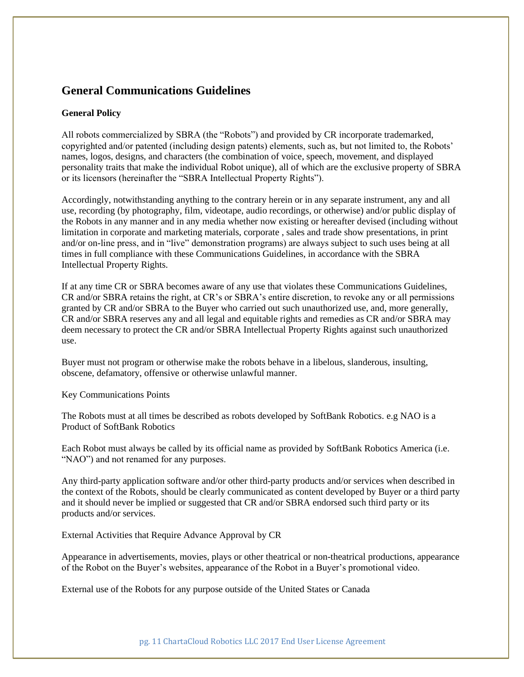# **General Communications Guidelines**

## **General Policy**

All robots commercialized by SBRA (the "Robots") and provided by CR incorporate trademarked, copyrighted and/or patented (including design patents) elements, such as, but not limited to, the Robots' names, logos, designs, and characters (the combination of voice, speech, movement, and displayed personality traits that make the individual Robot unique), all of which are the exclusive property of SBRA or its licensors (hereinafter the "SBRA Intellectual Property Rights").

Accordingly, notwithstanding anything to the contrary herein or in any separate instrument, any and all use, recording (by photography, film, videotape, audio recordings, or otherwise) and/or public display of the Robots in any manner and in any media whether now existing or hereafter devised (including without limitation in corporate and marketing materials, corporate , sales and trade show presentations, in print and/or on-line press, and in "live" demonstration programs) are always subject to such uses being at all times in full compliance with these Communications Guidelines, in accordance with the SBRA Intellectual Property Rights.

If at any time CR or SBRA becomes aware of any use that violates these Communications Guidelines, CR and/or SBRA retains the right, at CR's or SBRA's entire discretion, to revoke any or all permissions granted by CR and/or SBRA to the Buyer who carried out such unauthorized use, and, more generally, CR and/or SBRA reserves any and all legal and equitable rights and remedies as CR and/or SBRA may deem necessary to protect the CR and/or SBRA Intellectual Property Rights against such unauthorized use.

Buyer must not program or otherwise make the robots behave in a libelous, slanderous, insulting, obscene, defamatory, offensive or otherwise unlawful manner.

Key Communications Points

The Robots must at all times be described as robots developed by SoftBank Robotics. e.g NAO is a Product of SoftBank Robotics

Each Robot must always be called by its official name as provided by SoftBank Robotics America (i.e. "NAO") and not renamed for any purposes.

Any third-party application software and/or other third-party products and/or services when described in the context of the Robots, should be clearly communicated as content developed by Buyer or a third party and it should never be implied or suggested that CR and/or SBRA endorsed such third party or its products and/or services.

External Activities that Require Advance Approval by CR

Appearance in advertisements, movies, plays or other theatrical or non-theatrical productions, appearance of the Robot on the Buyer's websites, appearance of the Robot in a Buyer's promotional video.

External use of the Robots for any purpose outside of the United States or Canada

pg. 11 ChartaCloud Robotics LLC 2017 End User License Agreement